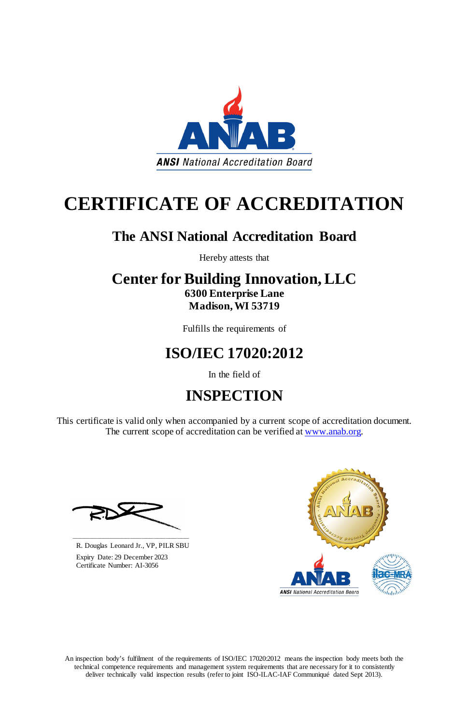An inspection body's fulfilment of the requirements of ISO/IEC 17020:2012 means the inspection body meets both the technical competence requirements and management system requirements that are necessary for it to consistently deliver technically valid inspection results (refer to joint ISO-ILAC-IAF Communiqué dated Sept 2013).

This certificate is valid only when accompanied by a current scope of accreditation document. The current scope of accreditation can be verified at [www.anab.org.](http://www.anab.org/)



# **CERTIFICATE OF ACCREDITATION**

## **The ANSI National Accreditation Board**

Hereby attests that

### **Center for Building Innovation, LLC 6300 Enterprise Lane Madison, WI 53719**

Fulfills the requirements of

## **ISO/IEC 17020:2012**

In the field of

# **INSPECTION**





**\_\_\_\_\_\_\_\_\_\_\_\_\_\_\_\_\_\_\_\_\_\_\_\_\_\_\_\_\_\_** R. Douglas Leonard Jr., VP, PILR SBU

 Expiry Date: 29 December 2023 Certificate Number: AI-3056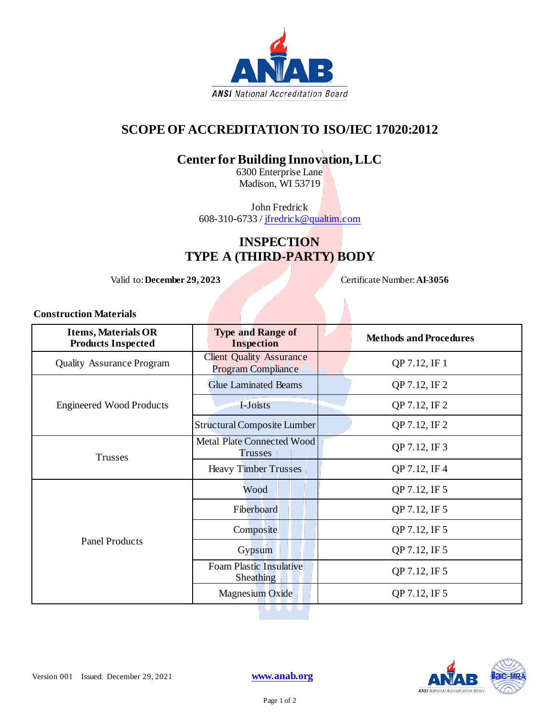

### **SCOPE OF ACCREDITATION TO ISO/IEC 17020:2012**

### **Center for Building Innovation, LLC**

6300 Enterprise Lane Madison, WI 53719

John Fredrick 608-310-6733 / [jfredrick@qualtim.com](mailto:jfredrick@qualtim.com)

#### **INSPECTION TYPE A (THIRD-PARTY) BODY**

Valid to: **December 29, 2023** Certificate Number: **AI-3056** 

**Construction Materials**

| <b>Items, Materials OR</b><br><b>Products Inspected</b> | <b>Type and Range of</b><br><b>Inspection</b>                |  | <b>Methods and Procedures</b> |  |
|---------------------------------------------------------|--------------------------------------------------------------|--|-------------------------------|--|
| <b>Quality Assurance Program</b>                        | <b>Client Quality Assurance</b><br><b>Program Compliance</b> |  | QP 7.12, IF 1                 |  |
| <b>Engineered Wood Products</b>                         | <b>Glue Laminated Beams</b>                                  |  | QP 7.12, IF 2                 |  |
|                                                         | I-Joists                                                     |  | QP 7.12, IF 2                 |  |
|                                                         | <b>Structural Composite Lumber</b>                           |  | QP 7.12, IF 2                 |  |
| Trusses                                                 | <b>Metal Plate Connected Wood</b><br><b>Trusses</b>          |  | QP 7.12, IF 3                 |  |
|                                                         | <b>Heavy Timber Trusses</b>                                  |  | QP 7.12, IF 4                 |  |
| <b>Panel Products</b>                                   | Wood                                                         |  | QP 7.12, IF 5                 |  |
|                                                         | Fiberboard                                                   |  | QP 7.12, IF 5                 |  |
|                                                         | Composite                                                    |  | QP 7.12, IF 5                 |  |
|                                                         | Gypsum                                                       |  | QP 7.12, IF 5                 |  |
|                                                         | <b>Foam Plastic Insulative</b><br><b>Sheathing</b>           |  | QP 7.12, IF 5                 |  |
|                                                         | Magnesium Oxide                                              |  | QP 7.12, IF 5                 |  |
|                                                         |                                                              |  |                               |  |